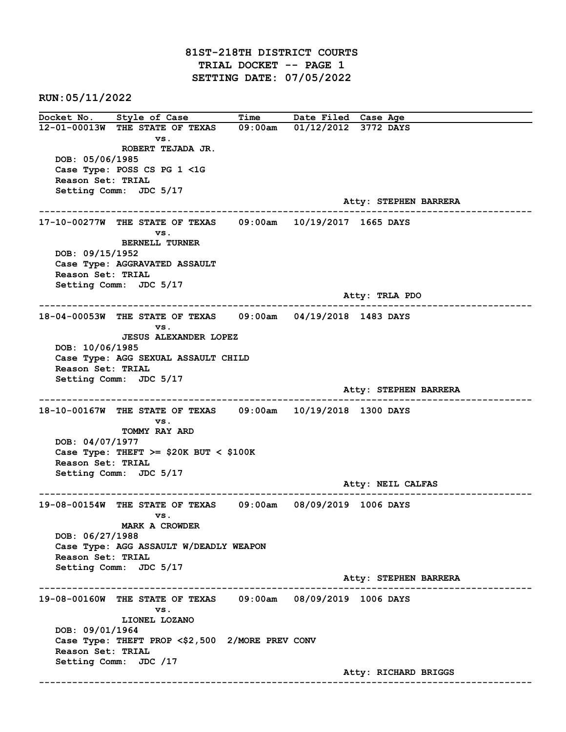81ST-218TH DISTRICT COURTS TRIAL DOCKET -- PAGE 1 SETTING DATE: 07/05/2022

RUN:05/11/2022

Docket No. Style of Case Time Date Filed Case Age 12-01-00013W THE STATE OF TEXAS 09:00am 01/12/2012 3772 DAYS vs. ROBERT TEJADA JR. DOB: 05/06/1985 Case Type: POSS CS PG 1 <1G Reason Set: TRIAL Setting Comm: JDC 5/17 Atty: STEPHEN BARRERA ------------------------------------------------------------------------------------------------------------------------ 17-10-00277W THE STATE OF TEXAS 09:00am 10/19/2017 1665 DAYS vs. BERNELL TURNER DOB: 09/15/1952 Case Type: AGGRAVATED ASSAULT Reason Set: TRIAL Setting Comm: JDC 5/17 Atty: TRLA PDO ------------------------------------------------------------------------------------------------------------------------ 18-04-00053W THE STATE OF TEXAS 09:00am 04/19/2018 1483 DAYS vs. JESUS ALEXANDER LOPEZ DOB: 10/06/1985 Case Type: AGG SEXUAL ASSAULT CHILD Reason Set: TRIAL Setting Comm: JDC 5/17 Atty: STEPHEN BARRERA ------------------------------------------------------------------------------------------------------------------------ 18-10-00167W THE STATE OF TEXAS 09:00am 10/19/2018 1300 DAYS vs. TOMMY RAY ARD DOB: 04/07/1977 Case Type: THEFT  $>=$  \$20K BUT < \$100K Reason Set: TRIAL Setting Comm: JDC 5/17 Atty: NEIL CALFAS ------------------------------------------------------------------------------------------------------------------------ 19-08-00154W THE STATE OF TEXAS 09:00am 08/09/2019 1006 DAYS vs. MARK A CROWDER DOB: 06/27/1988 Case Type: AGG ASSAULT W/DEADLY WEAPON Reason Set: TRIAL Setting Comm: JDC 5/17 Atty: STEPHEN BARRERA ------------------------------------------------------------------------------------------------------------------------ 19-08-00160W THE STATE OF TEXAS 09:00am 08/09/2019 1006 DAYS vs. LIONEL LOZANO DOB: 09/01/1964 Case Type: THEFT PROP <\$2,500 2/MORE PREV CONV Reason Set: TRIAL Setting Comm: JDC /17 Atty: RICHARD BRIGGS ------------------------------------------------------------------------------------------------------------------------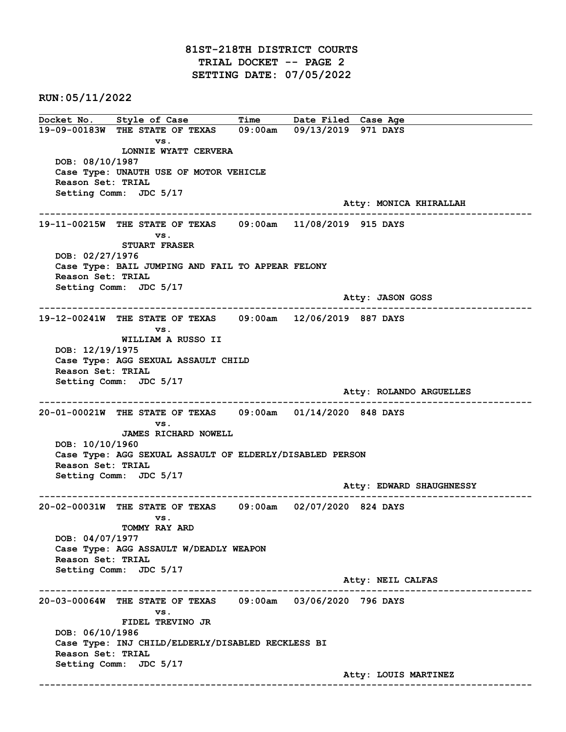## 81ST-218TH DISTRICT COURTS TRIAL DOCKET -- PAGE 2 SETTING DATE: 07/05/2022

RUN:05/11/2022

Docket No. Style of Case Time Date Filed Case Age 19-09-00183W THE STATE OF TEXAS 09:00am 09/13/2019 971 DAYS vs. LONNIE WYATT CERVERA DOB: 08/10/1987 Case Type: UNAUTH USE OF MOTOR VEHICLE Reason Set: TRIAL Setting Comm: JDC 5/17 Atty: MONICA KHIRALLAH ------------------------------------------------------------------------------------------------------------------------ 19-11-00215W THE STATE OF TEXAS 09:00am 11/08/2019 915 DAYS vs. STUART FRASER DOB: 02/27/1976 Case Type: BAIL JUMPING AND FAIL TO APPEAR FELONY Reason Set: TRIAL Setting Comm: JDC 5/17 Atty: JASON GOSS ------------------------------------------------------------------------------------------------------------------------ 19-12-00241W THE STATE OF TEXAS 09:00am 12/06/2019 887 DAYS vs. WILLIAM A RUSSO II DOB: 12/19/1975 Case Type: AGG SEXUAL ASSAULT CHILD Reason Set: TRIAL Setting Comm: JDC 5/17 Atty: ROLANDO ARGUELLES ------------------------------------------------------------------------------------------------------------------------ 20-01-00021W THE STATE OF TEXAS 09:00am 01/14/2020 848 DAYS vs. JAMES RICHARD NOWELL DOB: 10/10/1960 Case Type: AGG SEXUAL ASSAULT OF ELDERLY/DISABLED PERSON Reason Set: TRIAL Setting Comm: JDC 5/17 Atty: EDWARD SHAUGHNESSY ------------------------------------------------------------------------------------------------------------------------ 20-02-00031W THE STATE OF TEXAS 09:00am 02/07/2020 824 DAYS vs. TOMMY RAY ARD DOB: 04/07/1977 Case Type: AGG ASSAULT W/DEADLY WEAPON Reason Set: TRIAL Setting Comm: JDC 5/17 Atty: NEIL CALFAS ------------------------------------------------------------------------------------------------------------------------ 20-03-00064W THE STATE OF TEXAS 09:00am 03/06/2020 796 DAYS vs. FIDEL TREVINO JR DOB: 06/10/1986 Case Type: INJ CHILD/ELDERLY/DISABLED RECKLESS BI Reason Set: TRIAL Setting Comm: JDC 5/17 Atty: LOUIS MARTINEZ ------------------------------------------------------------------------------------------------------------------------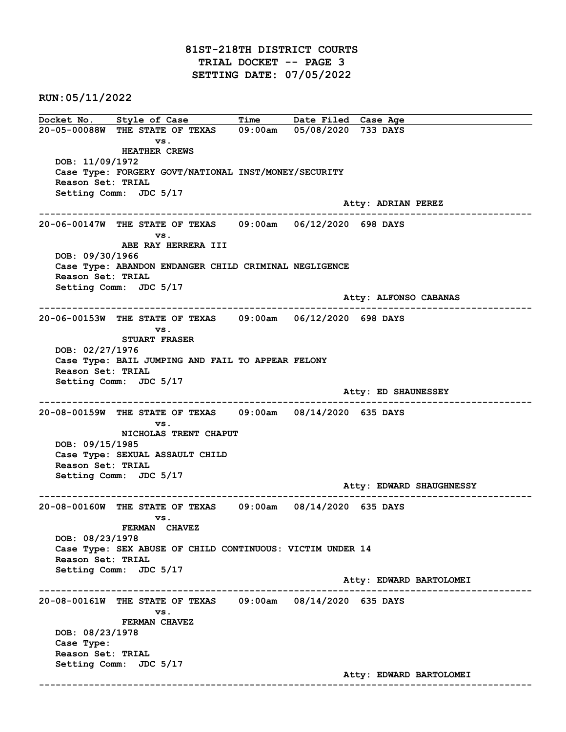Docket No. Style of Case Time Date Filed Case Age 20-05-00088W THE STATE OF TEXAS 09:00am 05/08/2020 733 DAYS vs. HEATHER CREWS DOB: 11/09/1972 Case Type: FORGERY GOVT/NATIONAL INST/MONEY/SECURITY Reason Set: TRIAL Setting Comm: JDC 5/17 Atty: ADRIAN PEREZ ------------------------------------------------------------------------------------------------------------------------ 20-06-00147W THE STATE OF TEXAS 09:00am 06/12/2020 698 DAYS vs. ABE RAY HERRERA III DOB: 09/30/1966 Case Type: ABANDON ENDANGER CHILD CRIMINAL NEGLIGENCE Reason Set: TRIAL Setting Comm: JDC 5/17 Atty: ALFONSO CABANAS ------------------------------------------------------------------------------------------------------------------------ 20-06-00153W THE STATE OF TEXAS 09:00am 06/12/2020 698 DAYS vs. STUART FRASER DOB: 02/27/1976 Case Type: BAIL JUMPING AND FAIL TO APPEAR FELONY Reason Set: TRIAL Setting Comm: JDC 5/17 Atty: ED SHAUNESSEY ------------------------------------------------------------------------------------------------------------------------ 20-08-00159W THE STATE OF TEXAS 09:00am 08/14/2020 635 DAYS vs. NICHOLAS TRENT CHAPUT DOB: 09/15/1985 Case Type: SEXUAL ASSAULT CHILD Reason Set: TRIAL Setting Comm: JDC 5/17 Atty: EDWARD SHAUGHNESSY ------------------------------------------------------------------------------------------------------------------------ 20-08-00160W THE STATE OF TEXAS 09:00am 08/14/2020 635 DAYS vs. FERMAN CHAVEZ DOB: 08/23/1978 Case Type: SEX ABUSE OF CHILD CONTINUOUS: VICTIM UNDER 14 Reason Set: TRIAL Setting Comm: JDC 5/17 Atty: EDWARD BARTOLOMEI ------------------------------------------------------------------------------------------------------------------------ 20-08-00161W THE STATE OF TEXAS 09:00am 08/14/2020 635 DAYS vs. FERMAN CHAVEZ DOB: 08/23/1978 Case Type: Reason Set: TRIAL Setting Comm: JDC 5/17 Atty: EDWARD BARTOLOMEI ------------------------------------------------------------------------------------------------------------------------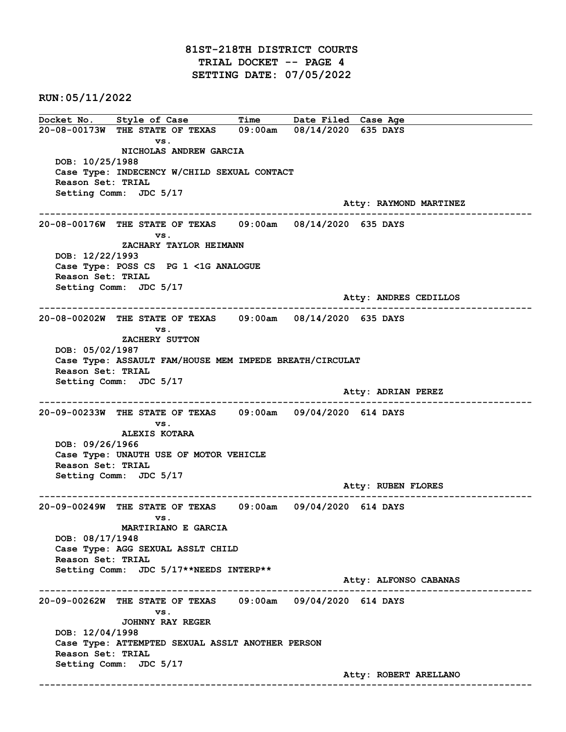## 81ST-218TH DISTRICT COURTS TRIAL DOCKET -- PAGE 4 SETTING DATE: 07/05/2022

RUN:05/11/2022

Docket No. Style of Case Time Date Filed Case Age 20-08-00173W THE STATE OF TEXAS 09:00am 08/14/2020 635 DAYS vs. NICHOLAS ANDREW GARCIA DOB: 10/25/1988 Case Type: INDECENCY W/CHILD SEXUAL CONTACT Reason Set: TRIAL Setting Comm: JDC 5/17 Atty: RAYMOND MARTINEZ ------------------------------------------------------------------------------------------------------------------------ 20-08-00176W THE STATE OF TEXAS 09:00am 08/14/2020 635 DAYS vs. ZACHARY TAYLOR HEIMANN DOB: 12/22/1993 Case Type: POSS CS PG 1 <1G ANALOGUE Reason Set: TRIAL Setting Comm: JDC 5/17 Atty: ANDRES CEDILLOS ------------------------------------------------------------------------------------------------------------------------ 20-08-00202W THE STATE OF TEXAS 09:00am 08/14/2020 635 DAYS vs. ZACHERY SUTTON DOB: 05/02/1987 Case Type: ASSAULT FAM/HOUSE MEM IMPEDE BREATH/CIRCULAT Reason Set: TRIAL Setting Comm: JDC 5/17 Atty: ADRIAN PEREZ ------------------------------------------------------------------------------------------------------------------------ 20-09-00233W THE STATE OF TEXAS 09:00am 09/04/2020 614 DAYS vs. ALEXIS KOTARA DOB: 09/26/1966 Case Type: UNAUTH USE OF MOTOR VEHICLE Reason Set: TRIAL Setting Comm: JDC 5/17 Atty: RUBEN FLORES ------------------------------------------------------------------------------------------------------------------------ 20-09-00249W THE STATE OF TEXAS 09:00am 09/04/2020 614 DAYS vs. MARTIRIANO E GARCIA DOB: 08/17/1948 Case Type: AGG SEXUAL ASSLT CHILD Reason Set: TRIAL Setting Comm: JDC 5/17\*\*NEEDS INTERP\*\* Atty: ALFONSO CABANAS ------------------------------------------------------------------------------------------------------------------------ 20-09-00262W THE STATE OF TEXAS 09:00am 09/04/2020 614 DAYS vs. JOHNNY RAY REGER DOB: 12/04/1998 Case Type: ATTEMPTED SEXUAL ASSLT ANOTHER PERSON Reason Set: TRIAL Setting Comm: JDC 5/17 Atty: ROBERT ARELLANO ------------------------------------------------------------------------------------------------------------------------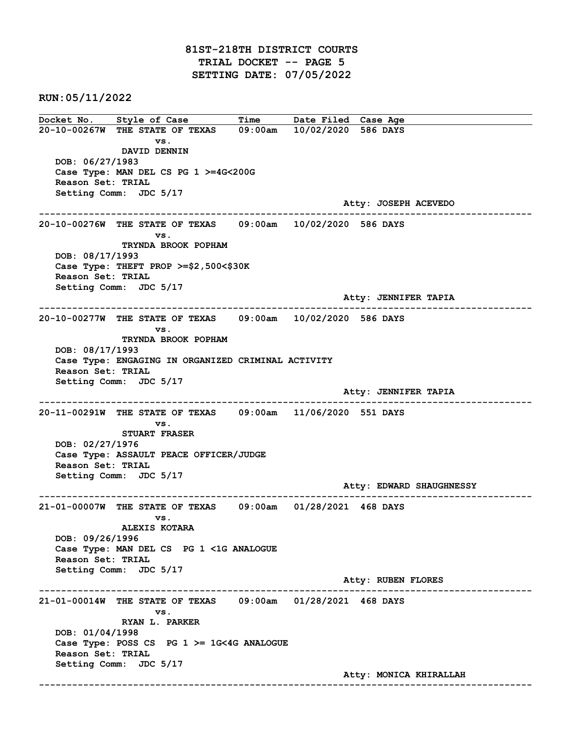Docket No. Style of Case Time Date Filed Case Age 20-10-00267W THE STATE OF TEXAS 09:00am 10/02/2020 586 DAYS vs. DAVID DENNIN DOB: 06/27/1983 Case Type: MAN DEL CS PG 1 >=4G<200G Reason Set: TRIAL Setting Comm: JDC 5/17 Atty: JOSEPH ACEVEDO ------------------------------------------------------------------------------------------------------------------------ 20-10-00276W THE STATE OF TEXAS 09:00am 10/02/2020 586 DAYS vs. TRYNDA BROOK POPHAM DOB: 08/17/1993 Case Type: THEFT PROP >=\$2,500<\$30K Reason Set: TRIAL Setting Comm: JDC 5/17 Atty: JENNIFER TAPIA ------------------------------------------------------------------------------------------------------------------------ 20-10-00277W THE STATE OF TEXAS 09:00am 10/02/2020 586 DAYS vs. TRYNDA BROOK POPHAM DOB: 08/17/1993 Case Type: ENGAGING IN ORGANIZED CRIMINAL ACTIVITY Reason Set: TRIAL Setting Comm: JDC 5/17 Atty: JENNIFER TAPIA ------------------------------------------------------------------------------------------------------------------------ 20-11-00291W THE STATE OF TEXAS 09:00am 11/06/2020 551 DAYS vs. STUART FRASER DOB: 02/27/1976 Case Type: ASSAULT PEACE OFFICER/JUDGE Reason Set: TRIAL Setting Comm: JDC 5/17 Atty: EDWARD SHAUGHNESSY ------------------------------------------------------------------------------------------------------------------------ 21-01-00007W THE STATE OF TEXAS 09:00am 01/28/2021 468 DAYS vs. ALEXIS KOTARA DOB: 09/26/1996 Case Type: MAN DEL CS PG 1 <1G ANALOGUE Reason Set: TRIAL Setting Comm: JDC 5/17 Atty: RUBEN FLORES ------------------------------------------------------------------------------------------------------------------------ 21-01-00014W THE STATE OF TEXAS 09:00am 01/28/2021 468 DAYS vs. RYAN L. PARKER DOB: 01/04/1998 Case Type: POSS CS PG 1 >= 1G<4G ANALOGUE Reason Set: TRIAL Setting Comm: JDC 5/17 Atty: MONICA KHIRALLAH ------------------------------------------------------------------------------------------------------------------------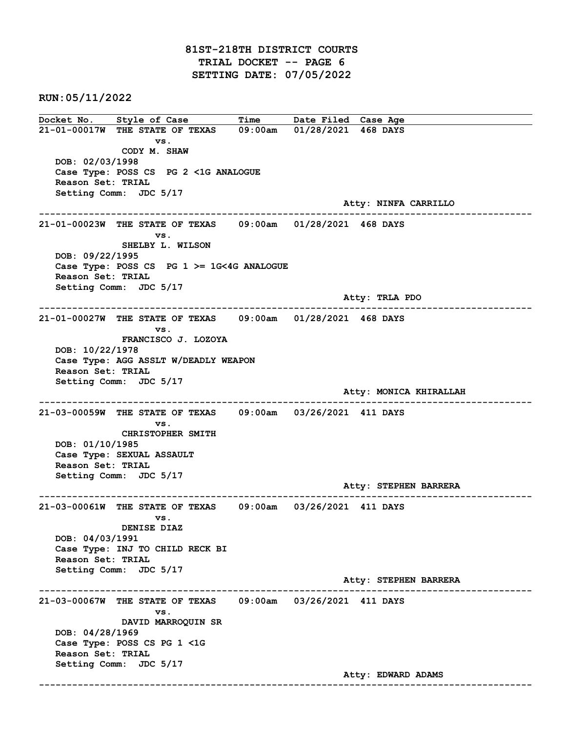Docket No. Style of Case Time Date Filed Case Age 21-01-00017W THE STATE OF TEXAS 09:00am 01/28/2021 468 DAYS vs. CODY M. SHAW DOB: 02/03/1998 Case Type: POSS CS PG 2 <1G ANALOGUE Reason Set: TRIAL Setting Comm: JDC 5/17 Atty: NINFA CARRILLO ------------------------------------------------------------------------------------------------------------------------ 21-01-00023W THE STATE OF TEXAS 09:00am 01/28/2021 468 DAYS vs. SHELBY L. WILSON DOB: 09/22/1995 Case Type: POSS CS PG 1 >= 1G<4G ANALOGUE Reason Set: TRIAL Setting Comm: JDC 5/17 Atty: TRLA PDO ------------------------------------------------------------------------------------------------------------------------ 21-01-00027W THE STATE OF TEXAS 09:00am 01/28/2021 468 DAYS vs. FRANCISCO J. LOZOYA DOB: 10/22/1978 Case Type: AGG ASSLT W/DEADLY WEAPON Reason Set: TRIAL Setting Comm: JDC 5/17 Atty: MONICA KHIRALLAH ------------------------------------------------------------------------------------------------------------------------ 21-03-00059W THE STATE OF TEXAS 09:00am 03/26/2021 411 DAYS vs. CHRISTOPHER SMITH DOB: 01/10/1985 Case Type: SEXUAL ASSAULT Reason Set: TRIAL Setting Comm: JDC 5/17 Atty: STEPHEN BARRERA ------------------------------------------------------------------------------------------------------------------------ 21-03-00061W THE STATE OF TEXAS 09:00am 03/26/2021 411 DAYS vs. DENISE DIAZ DOB: 04/03/1991 Case Type: INJ TO CHILD RECK BI Reason Set: TRIAL Setting Comm: JDC 5/17 Atty: STEPHEN BARRERA ------------------------------------------------------------------------------------------------------------------------ 21-03-00067W THE STATE OF TEXAS 09:00am 03/26/2021 411 DAYS vs. DAVID MARROQUIN SR DOB: 04/28/1969 Case Type: POSS CS PG 1 <1G Reason Set: TRIAL Setting Comm: JDC 5/17 Atty: EDWARD ADAMS ------------------------------------------------------------------------------------------------------------------------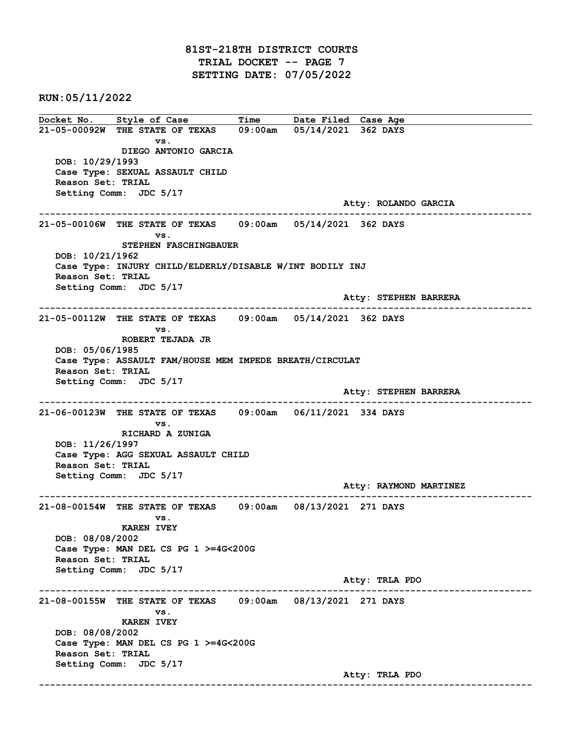## 81ST-218TH DISTRICT COURTS TRIAL DOCKET -- PAGE 7 SETTING DATE: 07/05/2022

RUN:05/11/2022

Docket No. Style of Case Time Date Filed Case Age 21-05-00092W THE STATE OF TEXAS 09:00am 05/14/2021 362 DAYS vs. DIEGO ANTONIO GARCIA DOB: 10/29/1993 Case Type: SEXUAL ASSAULT CHILD Reason Set: TRIAL Setting Comm: JDC 5/17 Atty: ROLANDO GARCIA ------------------------------------------------------------------------------------------------------------------------ 21-05-00106W THE STATE OF TEXAS 09:00am 05/14/2021 362 DAYS vs. STEPHEN FASCHINGBAUER DOB: 10/21/1962 Case Type: INJURY CHILD/ELDERLY/DISABLE W/INT BODILY INJ Reason Set: TRIAL Setting Comm: JDC 5/17 Atty: STEPHEN BARRERA ------------------------------------------------------------------------------------------------------------------------ 21-05-00112W THE STATE OF TEXAS 09:00am 05/14/2021 362 DAYS vs. ROBERT TEJADA JR DOB: 05/06/1985 Case Type: ASSAULT FAM/HOUSE MEM IMPEDE BREATH/CIRCULAT Reason Set: TRIAL Setting Comm: JDC 5/17 Atty: STEPHEN BARRERA ------------------------------------------------------------------------------------------------------------------------ 21-06-00123W THE STATE OF TEXAS 09:00am 06/11/2021 334 DAYS vs. RICHARD A ZUNIGA DOB: 11/26/1997 Case Type: AGG SEXUAL ASSAULT CHILD Reason Set: TRIAL Setting Comm: JDC 5/17 Atty: RAYMOND MARTINEZ ------------------------------------------------------------------------------------------------------------------------ 21-08-00154W THE STATE OF TEXAS 09:00am 08/13/2021 271 DAYS vs. KAREN IVEY DOB: 08/08/2002 Case Type: MAN DEL CS PG 1 >=4G<200G Reason Set: TRIAL Setting Comm: JDC 5/17 Atty: TRLA PDO ------------------------------------------------------------------------------------------------------------------------ 21-08-00155W THE STATE OF TEXAS 09:00am 08/13/2021 271 DAYS vs. KAREN IVEY DOB: 08/08/2002 Case Type: MAN DEL CS PG 1 >=4G<200G Reason Set: TRIAL Setting Comm: JDC 5/17 Atty: TRLA PDO ------------------------------------------------------------------------------------------------------------------------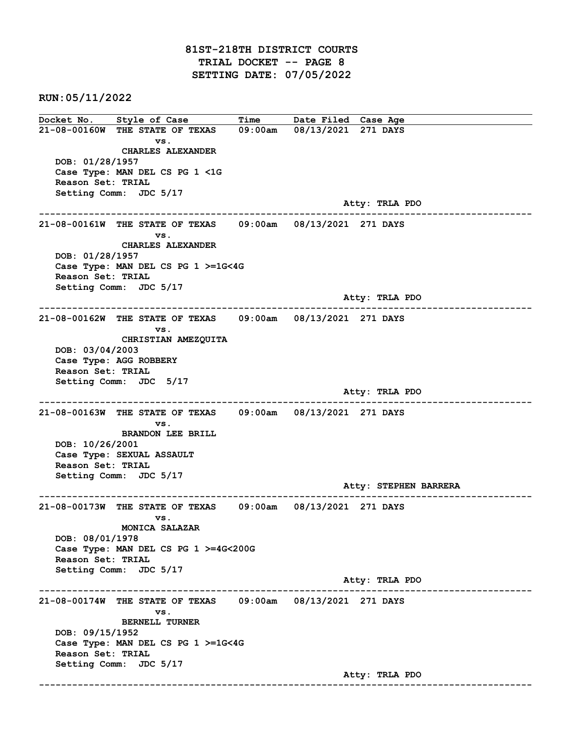## 81ST-218TH DISTRICT COURTS TRIAL DOCKET -- PAGE 8 SETTING DATE: 07/05/2022

RUN:05/11/2022

Docket No. Style of Case Time Date Filed Case Age 21-08-00160W THE STATE OF TEXAS 09:00am 08/13/2021 271 DAYS vs. CHARLES ALEXANDER DOB: 01/28/1957 Case Type: MAN DEL CS PG 1 <1G Reason Set: TRIAL Setting Comm: JDC 5/17 Atty: TRLA PDO ------------------------------------------------------------------------------------------------------------------------ 21-08-00161W THE STATE OF TEXAS 09:00am 08/13/2021 271 DAYS vs. CHARLES ALEXANDER DOB: 01/28/1957 Case Type: MAN DEL CS PG 1 >=1G<4G Reason Set: TRIAL Setting Comm: JDC 5/17 Atty: TRLA PDO ------------------------------------------------------------------------------------------------------------------------ 21-08-00162W THE STATE OF TEXAS 09:00am 08/13/2021 271 DAYS vs. CHRISTIAN AMEZQUITA DOB: 03/04/2003 Case Type: AGG ROBBERY Reason Set: TRIAL Setting Comm: JDC 5/17 Atty: TRLA PDO ------------------------------------------------------------------------------------------------------------------------ 21-08-00163W THE STATE OF TEXAS 09:00am 08/13/2021 271 DAYS vs. BRANDON LEE BRILL DOB: 10/26/2001 Case Type: SEXUAL ASSAULT Reason Set: TRIAL Setting Comm: JDC 5/17 Atty: STEPHEN BARRERA ------------------------------------------------------------------------------------------------------------------------ 21-08-00173W THE STATE OF TEXAS 09:00am 08/13/2021 271 DAYS vs. MONICA SALAZAR DOB: 08/01/1978 Case Type: MAN DEL CS PG 1 >=4G<200G Reason Set: TRIAL Setting Comm: JDC 5/17 Atty: TRLA PDO ------------------------------------------------------------------------------------------------------------------------ 21-08-00174W THE STATE OF TEXAS 09:00am 08/13/2021 271 DAYS vs. BERNELL TURNER DOB: 09/15/1952 Case Type: MAN DEL CS PG 1 >=1G<4G Reason Set: TRIAL Setting Comm: JDC 5/17 Atty: TRLA PDO ------------------------------------------------------------------------------------------------------------------------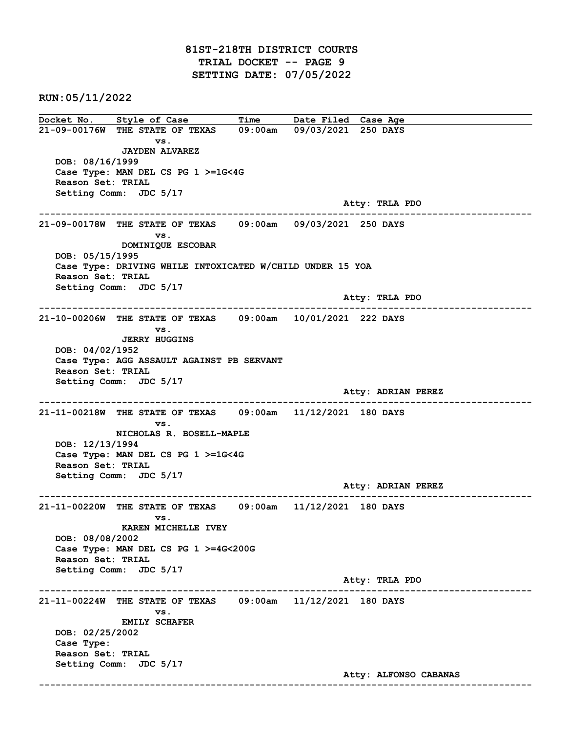Docket No. Style of Case Time Date Filed Case Age 21-09-00176W THE STATE OF TEXAS 09:00am 09/03/2021 250 DAYS vs. JAYDEN ALVAREZ DOB: 08/16/1999 Case Type: MAN DEL CS PG 1 >=1G<4G Reason Set: TRIAL Setting Comm: JDC 5/17 Atty: TRLA PDO ------------------------------------------------------------------------------------------------------------------------ 21-09-00178W THE STATE OF TEXAS 09:00am 09/03/2021 250 DAYS vs. DOMINIQUE ESCOBAR DOB: 05/15/1995 Case Type: DRIVING WHILE INTOXICATED W/CHILD UNDER 15 YOA Reason Set: TRIAL Setting Comm: JDC 5/17 Atty: TRLA PDO ------------------------------------------------------------------------------------------------------------------------ 21-10-00206W THE STATE OF TEXAS 09:00am 10/01/2021 222 DAYS vs. JERRY HUGGINS DOB: 04/02/1952 Case Type: AGG ASSAULT AGAINST PB SERVANT Reason Set: TRIAL Setting Comm: JDC 5/17 Atty: ADRIAN PEREZ ------------------------------------------------------------------------------------------------------------------------ 21-11-00218W THE STATE OF TEXAS 09:00am 11/12/2021 180 DAYS vs. NICHOLAS R. BOSELL-MAPLE DOB: 12/13/1994 Case Type: MAN DEL CS PG 1 >=1G<4G Reason Set: TRIAL Setting Comm: JDC 5/17 Atty: ADRIAN PEREZ ------------------------------------------------------------------------------------------------------------------------ 21-11-00220W THE STATE OF TEXAS 09:00am 11/12/2021 180 DAYS vs. KAREN MICHELLE IVEY DOB: 08/08/2002 Case Type: MAN DEL CS PG 1 >=4G<200G Reason Set: TRIAL Setting Comm: JDC 5/17 Atty: TRLA PDO ------------------------------------------------------------------------------------------------------------------------ 21-11-00224W THE STATE OF TEXAS 09:00am 11/12/2021 180 DAYS vs. EMILY SCHAFER DOB: 02/25/2002 Case Type: Reason Set: TRIAL Setting Comm: JDC 5/17 Atty: ALFONSO CABANAS ------------------------------------------------------------------------------------------------------------------------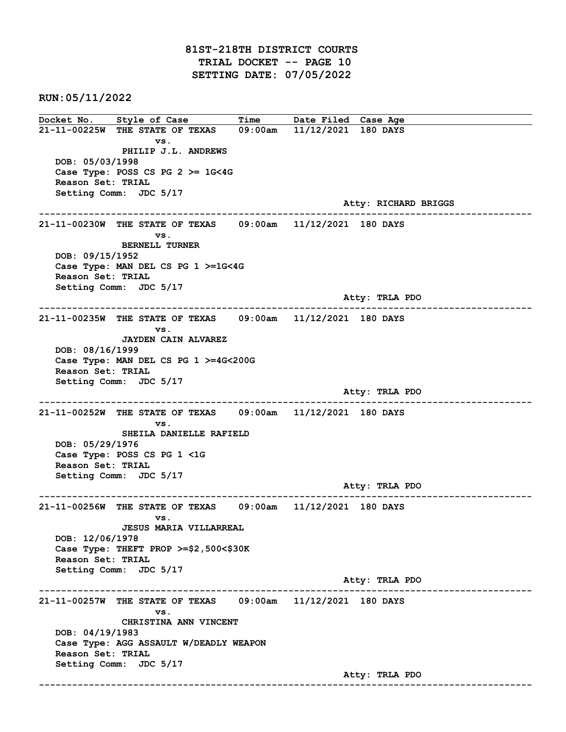81ST-218TH DISTRICT COURTS TRIAL DOCKET -- PAGE 10 SETTING DATE: 07/05/2022

RUN:05/11/2022

Docket No. Style of Case Time Date Filed Case Age 21-11-00225W THE STATE OF TEXAS 09:00am 11/12/2021 180 DAYS vs. PHILIP J.L. ANDREWS DOB: 05/03/1998 Case Type: POSS CS PG  $2 \ge 1$ G<4G Reason Set: TRIAL Setting Comm: JDC 5/17 Atty: RICHARD BRIGGS ------------------------------------------------------------------------------------------------------------------------ 21-11-00230W THE STATE OF TEXAS 09:00am 11/12/2021 180 DAYS vs. BERNELL TURNER DOB: 09/15/1952 Case Type: MAN DEL CS PG 1 >=1G<4G Reason Set: TRIAL Setting Comm: JDC 5/17 Atty: TRLA PDO ------------------------------------------------------------------------------------------------------------------------ 21-11-00235W THE STATE OF TEXAS 09:00am 11/12/2021 180 DAYS vs. JAYDEN CAIN ALVAREZ DOB: 08/16/1999 Case Type: MAN DEL CS PG 1 >=4G<200G Reason Set: TRIAL Setting Comm: JDC 5/17 Atty: TRLA PDO ------------------------------------------------------------------------------------------------------------------------ 21-11-00252W THE STATE OF TEXAS 09:00am 11/12/2021 180 DAYS vs. SHEILA DANIELLE RAFIELD DOB: 05/29/1976 Case Type: POSS CS PG 1 <1G Reason Set: TRIAL Setting Comm: JDC 5/17 Atty: TRLA PDO ------------------------------------------------------------------------------------------------------------------------ 21-11-00256W THE STATE OF TEXAS 09:00am 11/12/2021 180 DAYS vs. JESUS MARIA VILLARREAL DOB: 12/06/1978 Case Type: THEFT PROP >=\$2,500<\$30K Reason Set: TRIAL Setting Comm: JDC 5/17 Atty: TRLA PDO ------------------------------------------------------------------------------------------------------------------------ 21-11-00257W THE STATE OF TEXAS 09:00am 11/12/2021 180 DAYS vs. CHRISTINA ANN VINCENT DOB: 04/19/1983 Case Type: AGG ASSAULT W/DEADLY WEAPON Reason Set: TRIAL Setting Comm: JDC 5/17 Atty: TRLA PDO ------------------------------------------------------------------------------------------------------------------------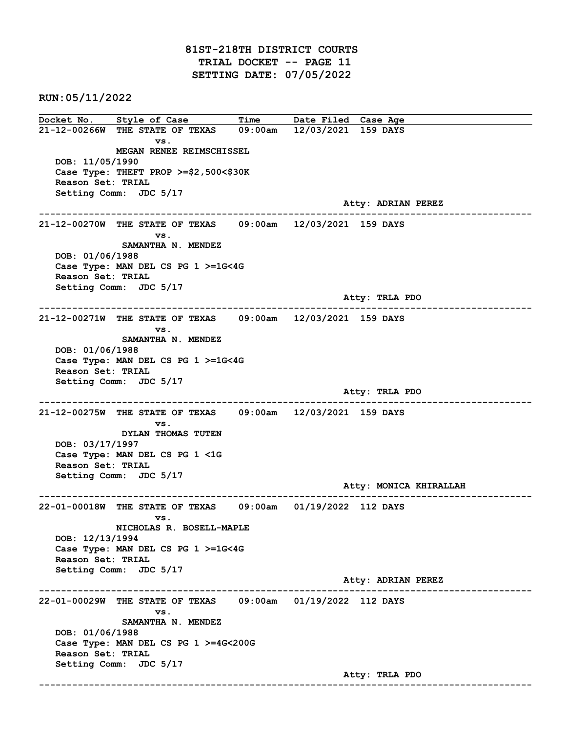81ST-218TH DISTRICT COURTS TRIAL DOCKET -- PAGE 11 SETTING DATE: 07/05/2022

RUN:05/11/2022

Docket No. Style of Case Time Date Filed Case Age 21-12-00266W THE STATE OF TEXAS 09:00am 12/03/2021 159 DAYS vs. MEGAN RENEE REIMSCHISSEL DOB: 11/05/1990 Case Type: THEFT PROP >=\$2,500<\$30K Reason Set: TRIAL Setting Comm: JDC 5/17 Atty: ADRIAN PEREZ ------------------------------------------------------------------------------------------------------------------------ 21-12-00270W THE STATE OF TEXAS 09:00am 12/03/2021 159 DAYS vs. SAMANTHA N. MENDEZ DOB: 01/06/1988 Case Type: MAN DEL CS PG 1 >=1G<4G Reason Set: TRIAL Setting Comm: JDC 5/17 Atty: TRLA PDO ------------------------------------------------------------------------------------------------------------------------ 21-12-00271W THE STATE OF TEXAS 09:00am 12/03/2021 159 DAYS vs. SAMANTHA N. MENDEZ DOB: 01/06/1988 Case Type: MAN DEL CS PG 1 >=1G<4G Reason Set: TRIAL Setting Comm: JDC 5/17 Atty: TRLA PDO ------------------------------------------------------------------------------------------------------------------------ 21-12-00275W THE STATE OF TEXAS 09:00am 12/03/2021 159 DAYS vs. DYLAN THOMAS TUTEN DOB: 03/17/1997 Case Type: MAN DEL CS PG 1 <1G Reason Set: TRIAL Setting Comm: JDC 5/17 Atty: MONICA KHIRALLAH ------------------------------------------------------------------------------------------------------------------------ 22-01-00018W THE STATE OF TEXAS 09:00am 01/19/2022 112 DAYS vs. NICHOLAS R. BOSELL-MAPLE DOB: 12/13/1994 Case Type: MAN DEL CS PG 1 >=1G<4G Reason Set: TRIAL Setting Comm: JDC 5/17 Atty: ADRIAN PEREZ ------------------------------------------------------------------------------------------------------------------------ 22-01-00029W THE STATE OF TEXAS 09:00am 01/19/2022 112 DAYS vs. SAMANTHA N. MENDEZ DOB: 01/06/1988 Case Type: MAN DEL CS PG 1 >=4G<200G Reason Set: TRIAL Setting Comm: JDC 5/17 Atty: TRLA PDO ------------------------------------------------------------------------------------------------------------------------